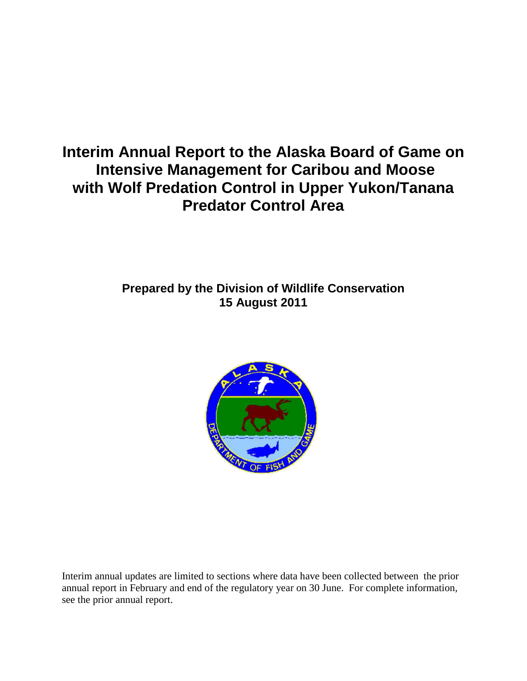# **Interim Annual Report to the Alaska Board of Game on Intensive Management for Caribou and Moose with Wolf Predation Control in Upper Yukon/Tanana Predator Control Area**

# **Prepared by the Division of Wildlife Conservation 15 August 2011**



Interim annual updates are limited to sections where data have been collected between the prior annual report in February and end of the regulatory year on 30 June. For complete information, see the prior annual report.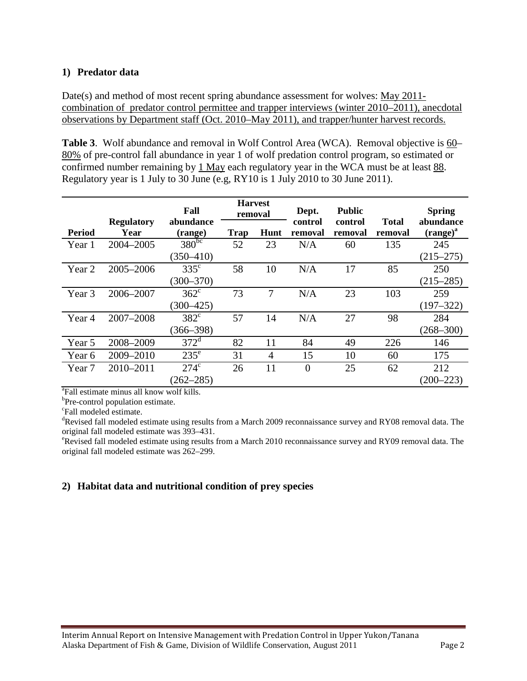## **1) Predator data**

Date(s) and method of most recent spring abundance assessment for wolves: May 2011combination of predator control permittee and trapper interviews (winter 2010–2011), anecdotal observations by Department staff (Oct. 2010–May 2011), and trapper/hunter harvest records.

**Table 3**. Wolf abundance and removal in Wolf Control Area (WCA). Removal objective is 60– 80% of pre-control fall abundance in year 1 of wolf predation control program, so estimated or confirmed number remaining by 1 May each regulatory year in the WCA must be at least 88. Regulatory year is 1 July to 30 June (e.g, RY10 is 1 July 2010 to 30 June 2011).

|                   |                           | Fall                 | <b>Harvest</b><br>removal |                | Dept.              | <b>Public</b>      |                         | <b>Spring</b>              |
|-------------------|---------------------------|----------------------|---------------------------|----------------|--------------------|--------------------|-------------------------|----------------------------|
| <b>Period</b>     | <b>Regulatory</b><br>Year | abundance<br>(range) | Trap                      | Hunt           | control<br>removal | control<br>removal | <b>Total</b><br>removal | abundance<br>$(range)^{a}$ |
| Year 1            | 2004-2005                 | $380^{bc}$           | 52                        | 23             | N/A                | 60                 | 135                     | 245                        |
|                   |                           | $(350 - 410)$        |                           |                |                    |                    |                         | $(215 - 275)$              |
| Year 2            | 2005-2006                 | $335^{\circ}$        | 58                        | 10             | N/A                | 17                 | 85                      | 250                        |
|                   |                           | $(300 - 370)$        |                           |                |                    |                    |                         | $(215 - 285)$              |
| Year 3            | 2006-2007                 | $362^{\circ}$        | 73                        | 7              | N/A                | 23                 | 103                     | 259                        |
|                   |                           | $(300 - 425)$        |                           |                |                    |                    |                         | $(197 - 322)$              |
| Year 4            | 2007-2008                 | $382^{\circ}$        | 57                        | 14             | N/A                | 27                 | 98                      | 284                        |
|                   |                           | $(366 - 398)$        |                           |                |                    |                    |                         | $(268 - 300)$              |
| Year 5            | 2008-2009                 | $372^{\mathrm{d}}$   | 82                        | 11             | 84                 | 49                 | 226                     | 146                        |
| Year 6            | 2009-2010                 | $235^{\circ}$        | 31                        | $\overline{4}$ | 15                 | 10                 | 60                      | 175                        |
| Year <sub>7</sub> | 2010-2011                 | $274^{\circ}$        | 26                        | 11             | $\overline{0}$     | 25                 | 62                      | 212                        |
|                   |                           | $(262 - 285)$        |                           |                |                    |                    |                         | $(200 - 223)$              |

a Fall estimate minus all know wolf kills.

 ${}^{b}$ Pre-control population estimate.

<sup>c</sup>Fall modeled estimate.

Revised fall modeled estimate using results from a March 2009 reconnaissance survey and RY08 removal data. The original fall modeled estimate was 393-431.

<sup>e</sup>Revised fall modeled estimate using results from a March 2010 reconnaissance survey and RY09 removal data. The original fall modeled estimate was 262–299.

## **2) Habitat data and nutritional condition of prey species**